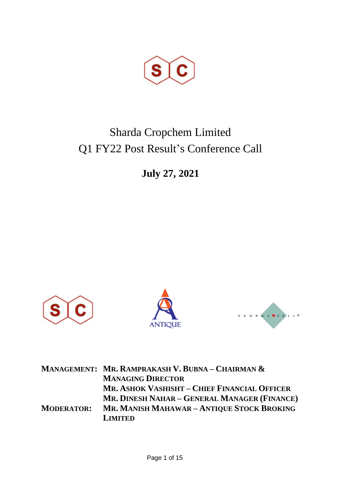

# Sharda Cropchem Limited Q1 FY22 Post Result's Conference Call

**July 27, 2021**



|                   | <b>MANAGEMENT: MR. RAMPRAKASH V. BUBNA - CHAIRMAN &amp;</b> |
|-------------------|-------------------------------------------------------------|
|                   | <b>MANAGING DIRECTOR</b>                                    |
|                   | MR. ASHOK VASHISHT - CHIEF FINANCIAL OFFICER                |
|                   | MR. DINESH NAHAR - GENERAL MANAGER (FINANCE)                |
| <b>MODERATOR:</b> | MR. MANISH MAHAWAR - ANTIQUE STOCK BROKING                  |
|                   | <b>LIMITED</b>                                              |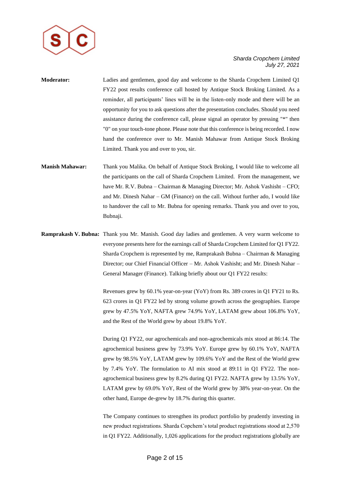

- **Moderator:** Ladies and gentlemen, good day and welcome to the Sharda Cropchem Limited Q1 FY22 post results conference call hosted by Antique Stock Broking Limited. As a reminder, all participants' lines will be in the listen-only mode and there will be an opportunity for you to ask questions after the presentation concludes. Should you need assistance during the conference call, please signal an operator by pressing "\*" then "0" on your touch-tone phone. Please note that this conference is being recorded. I now hand the conference over to Mr. Manish Mahawar from Antique Stock Broking Limited. Thank you and over to you, sir.
- **Manish Mahawar:** Thank you Malika. On behalf of Antique Stock Broking, I would like to welcome all the participants on the call of Sharda Cropchem Limited. From the management, we have Mr. R.V. Bubna – Chairman & Managing Director; Mr. Ashok Vashisht – CFO; and Mr. Dinesh Nahar – GM (Finance) on the call. Without further ado, I would like to handover the call to Mr. Bubna for opening remarks. Thank you and over to you, Bubnaji.
- **Ramprakash V. Bubna:** Thank you Mr. Manish. Good day ladies and gentlemen. A very warm welcome to everyone presents here for the earnings call of Sharda Cropchem Limited for Q1 FY22. Sharda Cropchem is represented by me, Ramprakash Bubna – Chairman & Managing Director; our Chief Financial Officer – Mr. Ashok Vashisht; and Mr. Dinesh Nahar – General Manager (Finance). Talking briefly about our Q1 FY22 results:

Revenues grew by 60.1% year-on-year (YoY) from Rs. 389 crores in Q1 FY21 to Rs. 623 crores in Q1 FY22 led by strong volume growth across the geographies. Europe grew by 47.5% YoY, NAFTA grew 74.9% YoY, LATAM grew about 106.8% YoY, and the Rest of the World grew by about 19.8% YoY.

During Q1 FY22, our agrochemicals and non-agrochemicals mix stood at 86:14. The agrochemical business grew by 73.9% YoY. Europe grew by 60.1% YoY, NAFTA grew by 98.5% YoY, LATAM grew by 109.6% YoY and the Rest of the World grew by 7.4% YoY. The formulation to AI mix stood at 89:11 in Q1 FY22. The nonagrochemical business grew by 8.2% during Q1 FY22. NAFTA grew by 13.5% YoY, LATAM grew by 69.0% YoY, Rest of the World grew by 38% year-on-year. On the other hand, Europe de-grew by 18.7% during this quarter.

The Company continues to strengthen its product portfolio by prudently investing in new product registrations. Sharda Copchem's total product registrations stood at 2,570 in Q1 FY22. Additionally, 1,026 applications for the product registrations globally are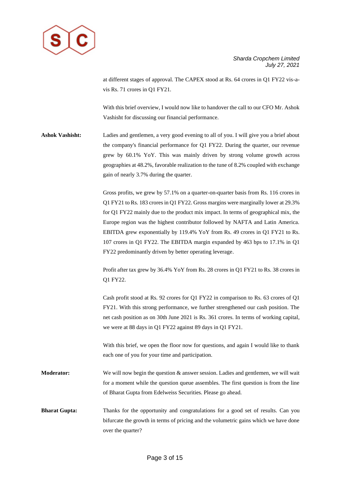

at different stages of approval. The CAPEX stood at Rs. 64 crores in Q1 FY22 vis-avis Rs. 71 crores in Q1 FY21.

With this brief overview, I would now like to handover the call to our CFO Mr. Ashok Vashisht for discussing our financial performance.

**Ashok Vashisht:** Ladies and gentlemen, a very good evening to all of you. I will give you a brief about the company's financial performance for Q1 FY22. During the quarter, our revenue grew by 60.1% YoY. This was mainly driven by strong volume growth across geographies at 48.2%, favorable realization to the tune of 8.2% coupled with exchange gain of nearly 3.7% during the quarter.

> Gross profits, we grew by 57.1% on a quarter-on-quarter basis from Rs. 116 crores in Q1 FY21 to Rs. 183 crores in Q1 FY22. Gross margins were marginally lower at 29.3% for Q1 FY22 mainly due to the product mix impact. In terms of geographical mix, the Europe region was the highest contributor followed by NAFTA and Latin America. EBITDA grew exponentially by 119.4% YoY from Rs. 49 crores in Q1 FY21 to Rs. 107 crores in Q1 FY22. The EBITDA margin expanded by 463 bps to 17.1% in Q1 FY22 predominantly driven by better operating leverage.

> Profit after tax grew by 36.4% YoY from Rs. 28 crores in Q1 FY21 to Rs. 38 crores in Q1 FY22.

> Cash profit stood at Rs. 92 crores for Q1 FY22 in comparison to Rs. 63 crores of Q1 FY21. With this strong performance, we further strengthened our cash position. The net cash position as on 30th June 2021 is Rs. 361 crores. In terms of working capital, we were at 88 days in Q1 FY22 against 89 days in Q1 FY21.

With this brief, we open the floor now for questions, and again I would like to thank each one of you for your time and participation.

**Moderator:** We will now begin the question & answer session. Ladies and gentlemen, we will wait for a moment while the question queue assembles. The first question is from the line of Bharat Gupta from Edelweiss Securities. Please go ahead.

**Bharat Gupta:** Thanks for the opportunity and congratulations for a good set of results. Can you bifurcate the growth in terms of pricing and the volumetric gains which we have done over the quarter?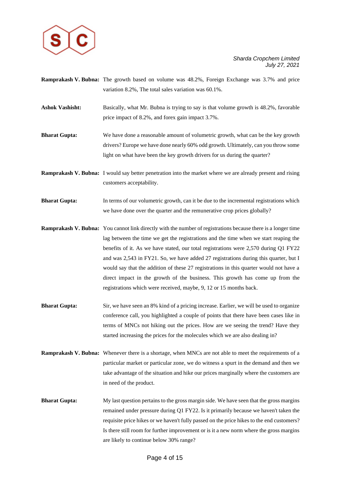

- **Ramprakash V. Bubna:** The growth based on volume was 48.2%, Foreign Exchange was 3.7% and price variation 8.2%, The total sales variation was 60.1%.
- **Ashok Vashisht:** Basically, what Mr. Bubna is trying to say is that volume growth is 48.2%, favorable price impact of 8.2%, and forex gain impact 3.7%.
- **Bharat Gupta:** We have done a reasonable amount of volumetric growth, what can be the key growth drivers? Europe we have done nearly 60% odd growth. Ultimately, can you throw some light on what have been the key growth drivers for us during the quarter?
- **Ramprakash V. Bubna:** I would say better penetration into the market where we are already present and rising customers acceptability.
- **Bharat Gupta:** In terms of our volumetric growth, can it be due to the incremental registrations which we have done over the quarter and the remunerative crop prices globally?
- **Ramprakash V. Bubna:** You cannot link directly with the number of registrations because there is a longer time lag between the time we get the registrations and the time when we start reaping the benefits of it. As we have stated, our total registrations were 2,570 during Q1 FY22 and was 2,543 in FY21. So, we have added 27 registrations during this quarter, but I would say that the addition of these 27 registrations in this quarter would not have a direct impact in the growth of the business. This growth has come up from the registrations which were received, maybe, 9, 12 or 15 months back.
- **Bharat Gupta:** Sir, we have seen an 8% kind of a pricing increase. Earlier, we will be used to organize conference call, you highlighted a couple of points that there have been cases like in terms of MNCs not hiking out the prices. How are we seeing the trend? Have they started increasing the prices for the molecules which we are also dealing in?
- **Ramprakash V. Bubna:** Whenever there is a shortage, when MNCs are not able to meet the requirements of a particular market or particular zone, we do witness a spurt in the demand and then we take advantage of the situation and hike our prices marginally where the customers are in need of the product.
- **Bharat Gupta:** My last question pertains to the gross margin side. We have seen that the gross margins remained under pressure during Q1 FY22. Is it primarily because we haven't taken the requisite price hikes or we haven't fully passed on the price hikes to the end customers? Is there still room for further improvement or is it a new norm where the gross margins are likely to continue below 30% range?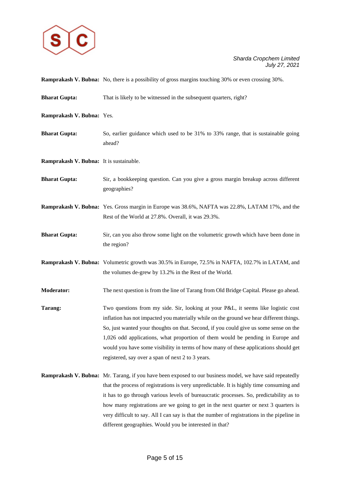

|                                         | <b>Ramprakash V. Bubna:</b> No, there is a possibility of gross margins touching 30% or even crossing 30%.                                                                                                                                                                                                                                                                                                                                                                                           |
|-----------------------------------------|------------------------------------------------------------------------------------------------------------------------------------------------------------------------------------------------------------------------------------------------------------------------------------------------------------------------------------------------------------------------------------------------------------------------------------------------------------------------------------------------------|
| <b>Bharat Gupta:</b>                    | That is likely to be witnessed in the subsequent quarters, right?                                                                                                                                                                                                                                                                                                                                                                                                                                    |
| Ramprakash V. Bubna: Yes.               |                                                                                                                                                                                                                                                                                                                                                                                                                                                                                                      |
| <b>Bharat Gupta:</b>                    | So, earlier guidance which used to be 31% to 33% range, that is sustainable going<br>ahead?                                                                                                                                                                                                                                                                                                                                                                                                          |
| Ramprakash V. Bubna: It is sustainable. |                                                                                                                                                                                                                                                                                                                                                                                                                                                                                                      |
| <b>Bharat Gupta:</b>                    | Sir, a bookkeeping question. Can you give a gross margin breakup across different<br>geographies?                                                                                                                                                                                                                                                                                                                                                                                                    |
|                                         | Ramprakash V. Bubna: Yes. Gross margin in Europe was 38.6%, NAFTA was 22.8%, LATAM 17%, and the<br>Rest of the World at 27.8%. Overall, it was 29.3%.                                                                                                                                                                                                                                                                                                                                                |
| <b>Bharat Gupta:</b>                    | Sir, can you also throw some light on the volumetric growth which have been done in<br>the region?                                                                                                                                                                                                                                                                                                                                                                                                   |
|                                         | <b>Ramprakash V. Bubna:</b> Volumetric growth was 30.5% in Europe, 72.5% in NAFTA, 102.7% in LATAM, and<br>the volumes de-grew by 13.2% in the Rest of the World.                                                                                                                                                                                                                                                                                                                                    |
| <b>Moderator:</b>                       | The next question is from the line of Tarang from Old Bridge Capital. Please go ahead.                                                                                                                                                                                                                                                                                                                                                                                                               |
| Tarang:                                 | Two questions from my side. Sir, looking at your P&L, it seems like logistic cost<br>inflation has not impacted you materially while on the ground we hear different things.<br>So, just wanted your thoughts on that. Second, if you could give us some sense on the<br>1,026 odd applications, what proportion of them would be pending in Europe and<br>would you have some visibility in terms of how many of these applications should get<br>registered, say over a span of next 2 to 3 years. |
|                                         | Ramprakash V. Bubna: Mr. Tarang, if you have been exposed to our business model, we have said repeatedly<br>that the process of registrations is very unpredictable. It is highly time consuming and<br>it has to go through various levels of bureaucratic processes. So, predictability as to                                                                                                                                                                                                      |

different geographies. Would you be interested in that?

how many registrations are we going to get in the next quarter or next 3 quarters is very difficult to say. All I can say is that the number of registrations in the pipeline in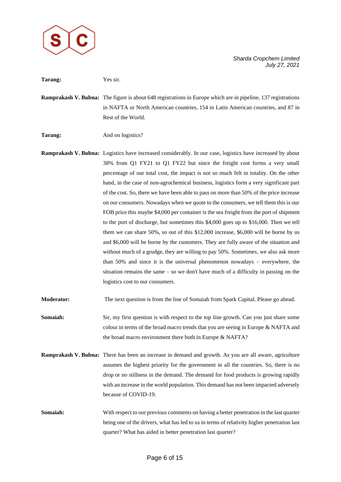

| Tarang:           | Yes sir.                                                                                                                                                                                                                                                                                                                                                                                                                                                                                                                                                                                                                                                                                                                                                                                                                                                                                                                                                                                                                                                                                                                                                                                                                                       |
|-------------------|------------------------------------------------------------------------------------------------------------------------------------------------------------------------------------------------------------------------------------------------------------------------------------------------------------------------------------------------------------------------------------------------------------------------------------------------------------------------------------------------------------------------------------------------------------------------------------------------------------------------------------------------------------------------------------------------------------------------------------------------------------------------------------------------------------------------------------------------------------------------------------------------------------------------------------------------------------------------------------------------------------------------------------------------------------------------------------------------------------------------------------------------------------------------------------------------------------------------------------------------|
|                   | <b>Ramprakash V. Bubna:</b> The figure is about 648 registrations in Europe which are in pipeline, 137 registrations<br>in NAFTA or North American countries, 154 in Latin American countries, and 87 in<br>Rest of the World.                                                                                                                                                                                                                                                                                                                                                                                                                                                                                                                                                                                                                                                                                                                                                                                                                                                                                                                                                                                                                 |
| Tarang:           | And on logistics?                                                                                                                                                                                                                                                                                                                                                                                                                                                                                                                                                                                                                                                                                                                                                                                                                                                                                                                                                                                                                                                                                                                                                                                                                              |
|                   | Ramprakash V. Bubna: Logistics have increased considerably. In our case, logistics have increased by about<br>38% from Q1 FY21 to Q1 FY22 but since the freight cost forms a very small<br>percentage of our total cost, the impact is not so much felt in totality. On the other<br>hand, in the case of non-agrochemical business, logistics form a very significant part<br>of the cost. So, there we have been able to pass on more than 50% of the price increase<br>on our consumers. Nowadays when we quote to the consumers, we tell them this is our<br>FOB price this maybe \$4,000 per container is the sea freight from the port of shipment<br>to the port of discharge, but sometimes this \$4,000 goes up to \$16,000. Then we tell<br>them we can share $50\%$ , so out of this \$12,000 increase, \$6,000 will be borne by us<br>and \$6,000 will be borne by the customers. They are fully aware of the situation and<br>without much of a grudge, they are willing to pay 50%. Sometimes, we also ask more<br>than $50\%$ and since it is the universal phenomenon nowadays – everywhere, the<br>situation remains the same $-$ so we don't have much of a difficulty in passing on the<br>logistics cost to our consumers. |
| <b>Moderator:</b> | The next question is from the line of Somaiah from Spark Capital. Please go ahead.                                                                                                                                                                                                                                                                                                                                                                                                                                                                                                                                                                                                                                                                                                                                                                                                                                                                                                                                                                                                                                                                                                                                                             |
| Somaiah:          | Sir, my first question is with respect to the top line growth. Can you just share some<br>colour in terms of the broad macro trends that you are seeing in Europe & NAFTA and<br>the broad macro environment there both in Europe & NAFTA?                                                                                                                                                                                                                                                                                                                                                                                                                                                                                                                                                                                                                                                                                                                                                                                                                                                                                                                                                                                                     |
|                   | Ramprakash V. Bubna: There has been an increase in demand and growth. As you are all aware, agriculture<br>assumes the highest priority for the government in all the countries. So, there is no<br>drop or no stillness in the demand. The demand for food products is growing rapidly<br>with an increase in the world population. This demand has not been impacted adversely<br>because of COVID-19.                                                                                                                                                                                                                                                                                                                                                                                                                                                                                                                                                                                                                                                                                                                                                                                                                                       |
| Somaiah:          | With respect to our previous comments on having a better penetration in the last quarter<br>being one of the drivers, what has led to us in terms of relativity higher penetration last<br>quarter? What has aided in better penetration last quarter?                                                                                                                                                                                                                                                                                                                                                                                                                                                                                                                                                                                                                                                                                                                                                                                                                                                                                                                                                                                         |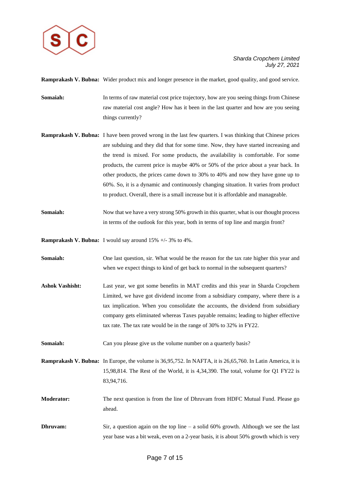

**Ramprakash V. Bubna:** Wider product mix and longer presence in the market, good quality, and good service.

- **Somaiah:** In terms of raw material cost price trajectory, how are you seeing things from Chinese raw material cost angle? How has it been in the last quarter and how are you seeing things currently?
- **Ramprakash V. Bubna:** I have been proved wrong in the last few quarters. I was thinking that Chinese prices are subduing and they did that for some time. Now, they have started increasing and the trend is mixed. For some products, the availability is comfortable. For some products, the current price is maybe 40% or 50% of the price about a year back. In other products, the prices came down to 30% to 40% and now they have gone up to 60%. So, it is a dynamic and continuously changing situation. It varies from product to product. Overall, there is a small increase but it is affordable and manageable.
- **Somaiah:** Now that we have a very strong 50% growth in this quarter, what is our thought process in terms of the outlook for this year, both in terms of top line and margin front?

**Ramprakash V. Bubna:** I would say around 15% +/- 3% to 4%.

- **Somaiah:** One last question, sir. What would be the reason for the tax rate higher this year and when we expect things to kind of get back to normal in the subsequent quarters?
- **Ashok Vashisht:** Last year, we got some benefits in MAT credits and this year in Sharda Cropchem Limited, we have got dividend income from a subsidiary company, where there is a tax implication. When you consolidate the accounts, the dividend from subsidiary company gets eliminated whereas Taxes payable remains; leading to higher effective tax rate. The tax rate would be in the range of 30% to 32% in FY22.

**Somaiah:** Can you please give us the volume number on a quarterly basis?

**Ramprakash V. Bubna:** In Europe, the volume is 36,95,752. In NAFTA, it is 26,65,760. In Latin America, it is 15,98,814. The Rest of the World, it is 4,34,390. The total, volume for Q1 FY22 is 83,94,716.

**Moderator:** The next question is from the line of Dhruvam from HDFC Mutual Fund. Please go ahead.

**Dhruvam:** Sir, a question again on the top line – a solid 60% growth. Although we see the last year base was a bit weak, even on a 2-year basis, it is about 50% growth which is very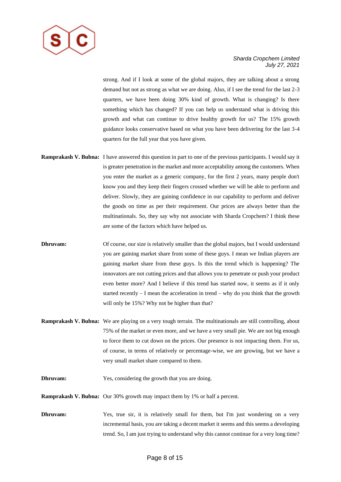

strong. And if I look at some of the global majors, they are talking about a strong demand but not as strong as what we are doing. Also, if I see the trend for the last 2-3 quarters, we have been doing 30% kind of growth. What is changing? Is there something which has changed? If you can help us understand what is driving this growth and what can continue to drive healthy growth for us? The 15% growth guidance looks conservative based on what you have been delivering for the last 3-4 quarters for the full year that you have given.

- **Ramprakash V. Bubna:** I have answered this question in part to one of the previous participants. I would say it is greater penetration in the market and more acceptability among the customers. When you enter the market as a generic company, for the first 2 years, many people don't know you and they keep their fingers crossed whether we will be able to perform and deliver. Slowly, they are gaining confidence in our capability to perform and deliver the goods on time as per their requirement. Our prices are always better than the multinationals. So, they say why not associate with Sharda Cropchem? I think these are some of the factors which have helped us.
- **Dhruvam:** Of course, our size is relatively smaller than the global majors, but I would understand you are gaining market share from some of these guys. I mean we Indian players are gaining market share from these guys. Is this the trend which is happening? The innovators are not cutting prices and that allows you to penetrate or push your product even better more? And I believe if this trend has started now, it seems as if it only started recently – I mean the acceleration in trend – why do you think that the growth will only be 15%? Why not be higher than that?
- **Ramprakash V. Bubna:** We are playing on a very tough terrain. The multinationals are still controlling, about 75% of the market or even more, and we have a very small pie. We are not big enough to force them to cut down on the prices. Our presence is not impacting them. For us, of course, in terms of relatively or percentage-wise, we are growing, but we have a very small market share compared to them.
- **Dhruvam:** Yes, considering the growth that you are doing.
- **Ramprakash V. Bubna:** Our 30% growth may impact them by 1% or half a percent.
- **Dhruvam:** Yes, true sir, it is relatively small for them, but I'm just wondering on a very incremental basis, you are taking a decent market it seems and this seems a developing trend. So, I am just trying to understand why this cannot continue for a very long time?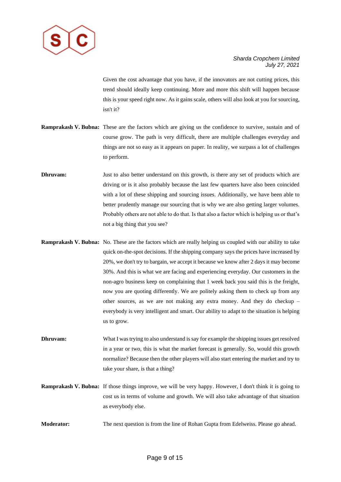

Given the cost advantage that you have, if the innovators are not cutting prices, this trend should ideally keep continuing. More and more this shift will happen because this is your speed right now. As it gains scale, others will also look at you for sourcing, isn't it?

- **Ramprakash V. Bubna:** These are the factors which are giving us the confidence to survive, sustain and of course grow. The path is very difficult, there are multiple challenges everyday and things are not so easy as it appears on paper. In reality, we surpass a lot of challenges to perform.
- **Dhruvam:** Just to also better understand on this growth, is there any set of products which are driving or is it also probably because the last few quarters have also been coincided with a lot of these shipping and sourcing issues. Additionally, we have been able to better prudently manage our sourcing that is why we are also getting larger volumes. Probably others are not able to do that. Is that also a factor which is helping us or that's not a big thing that you see?
- **Ramprakash V. Bubna:** No. These are the factors which are really helping us coupled with our ability to take quick on-the-spot decisions. If the shipping company says the prices have increased by 20%, we don't try to bargain, we accept it because we know after 2 days it may become 30%. And this is what we are facing and experiencing everyday. Our customers in the non-agro business keep on complaining that 1 week back you said this is the freight, now you are quoting differently. We are politely asking them to check up from any other sources, as we are not making any extra money. And they do checkup – everybody is very intelligent and smart. Our ability to adapt to the situation is helping us to grow.
- **Dhruvam:** What I was trying to also understand is say for example the shipping issues get resolved in a year or two, this is what the market forecast is generally. So, would this growth normalize? Because then the other players will also start entering the market and try to take your share, is that a thing?
- **Ramprakash V. Bubna:** If those things improve, we will be very happy. However, I don't think it is going to cost us in terms of volume and growth. We will also take advantage of that situation as everybody else.
- **Moderator:** The next question is from the line of Rohan Gupta from Edelweiss. Please go ahead.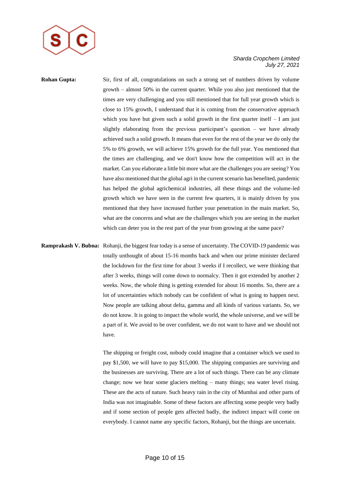

**Rohan Gupta:** Sir, first of all, congratulations on such a strong set of numbers driven by volume growth – almost 50% in the current quarter. While you also just mentioned that the times are very challenging and you still mentioned that for full year growth which is close to 15% growth, I understand that it is coming from the conservative approach which you have but given such a solid growth in the first quarter itself  $- I$  am just slightly elaborating from the previous participant's question – we have already achieved such a solid growth. It means that even for the rest of the year we do only the 5% to 6% growth, we will achieve 15% growth for the full year. You mentioned that the times are challenging, and we don't know how the competition will act in the market. Can you elaborate a little bit more what are the challenges you are seeing? You have also mentioned that the global agri in the current scenario has benefited, pandemic has helped the global agrichemical industries, all these things and the volume-led growth which we have seen in the current few quarters, it is mainly driven by you mentioned that they have increased further your penetration in the main market. So, what are the concerns and what are the challenges which you are seeing in the market which can deter you in the rest part of the year from growing at the same pace?

**Ramprakash V. Bubna:** Rohanji, the biggest fear today is a sense of uncertainty. The COVID-19 pandemic was totally unthought of about 15-16 months back and when our prime minister declared the lockdown for the first time for about 3 weeks if I recollect, we were thinking that after 3 weeks, things will come down to normalcy. Then it got extended by another 2 weeks. Now, the whole thing is getting extended for about 16 months. So, there are a lot of uncertainties which nobody can be confident of what is going to happen next. Now people are talking about delta, gamma and all kinds of various variants. So, we do not know. It is going to impact the whole world, the whole universe, and we will be a part of it. We avoid to be over confident, we do not want to have and we should not have.

> The shipping or freight cost, nobody could imagine that a container which we used to pay \$1,500, we will have to pay \$15,000. The shipping companies are surviving and the businesses are surviving. There are a lot of such things. There can be any climate change; now we hear some glaciers melting – many things; sea water level rising. These are the acts of nature. Such heavy rain in the city of Mumbai and other parts of India was not imaginable. Some of these factors are affecting some people very badly and if some section of people gets affected badly, the indirect impact will come on everybody. I cannot name any specific factors, Rohanji, but the things are uncertain.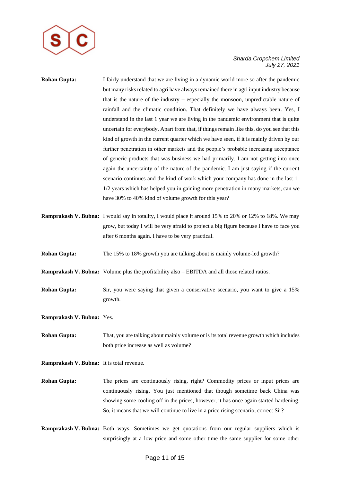

## **Rohan Gupta:** I fairly understand that we are living in a dynamic world more so after the pandemic but many risks related to agri have always remained there in agri input industry because that is the nature of the industry – especially the monsoon, unpredictable nature of rainfall and the climatic condition. That definitely we have always been. Yes, I understand in the last 1 year we are living in the pandemic environment that is quite uncertain for everybody. Apart from that, if things remain like this, do you see that this kind of growth in the current quarter which we have seen, if it is mainly driven by our further penetration in other markets and the people's probable increasing acceptance of generic products that was business we had primarily. I am not getting into once again the uncertainty of the nature of the pandemic. I am just saying if the current scenario continues and the kind of work which your company has done in the last 1- 1/2 years which has helped you in gaining more penetration in many markets, can we have 30% to 40% kind of volume growth for this year?

- **Ramprakash V. Bubna:** I would say in totality, I would place it around 15% to 20% or 12% to 18%. We may grow, but today I will be very afraid to project a big figure because I have to face you after 6 months again. I have to be very practical.
- **Rohan Gupta:** The 15% to 18% growth you are talking about is mainly volume-led growth?
- **Ramprakash V. Bubna:** Volume plus the profitability also EBITDA and all those related ratios.
- **Rohan Gupta:** Sir, you were saying that given a conservative scenario, you want to give a 15% growth.
- **Ramprakash V. Bubna:** Yes.
- **Rohan Gupta:** That, you are talking about mainly volume or is its total revenue growth which includes both price increase as well as volume?
- **Ramprakash V. Bubna:** It is total revenue.
- **Rohan Gupta:** The prices are continuously rising, right? Commodity prices or input prices are continuously rising. You just mentioned that though sometime back China was showing some cooling off in the prices, however, it has once again started hardening. So, it means that we will continue to live in a price rising scenario, correct Sir?
- **Ramprakash V. Bubna:** Both ways. Sometimes we get quotations from our regular suppliers which is surprisingly at a low price and some other time the same supplier for some other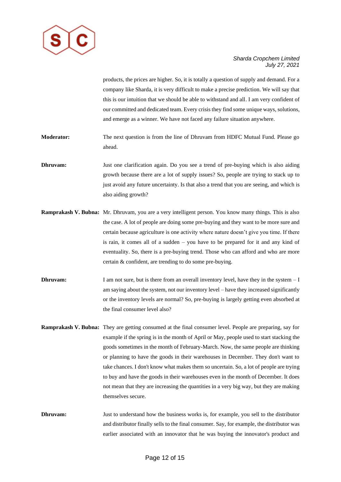

products, the prices are higher. So, it is totally a question of supply and demand. For a company like Sharda, it is very difficult to make a precise prediction. We will say that this is our intuition that we should be able to withstand and all. I am very confident of our committed and dedicated team. Every crisis they find some unique ways, solutions, and emerge as a winner. We have not faced any failure situation anywhere.

- **Moderator:** The next question is from the line of Dhruvam from HDFC Mutual Fund. Please go ahead.
- **Dhruvam:** Just one clarification again. Do you see a trend of pre-buying which is also aiding growth because there are a lot of supply issues? So, people are trying to stack up to just avoid any future uncertainty. Is that also a trend that you are seeing, and which is also aiding growth?
- **Ramprakash V. Bubna:** Mr. Dhruvam, you are a very intelligent person. You know many things. This is also the case. A lot of people are doing some pre-buying and they want to be more sure and certain because agriculture is one activity where nature doesn't give you time. If there is rain, it comes all of a sudden – you have to be prepared for it and any kind of eventuality. So, there is a pre-buying trend. Those who can afford and who are more certain & confident, are trending to do some pre-buying.
- **Dhruvam:** I am not sure, but is there from an overall inventory level, have they in the system I am saying about the system, not our inventory level – have they increased significantly or the inventory levels are normal? So, pre-buying is largely getting even absorbed at the final consumer level also?
- **Ramprakash V. Bubna:** They are getting consumed at the final consumer level. People are preparing, say for example if the spring is in the month of April or May, people used to start stacking the goods sometimes in the month of February-March. Now, the same people are thinking or planning to have the goods in their warehouses in December. They don't want to take chances. I don't know what makes them so uncertain. So, a lot of people are trying to buy and have the goods in their warehouses even in the month of December. It does not mean that they are increasing the quantities in a very big way, but they are making themselves secure.
- **Dhruvam:** Just to understand how the business works is, for example, you sell to the distributor and distributor finally sells to the final consumer. Say, for example, the distributor was earlier associated with an innovator that he was buying the innovator's product and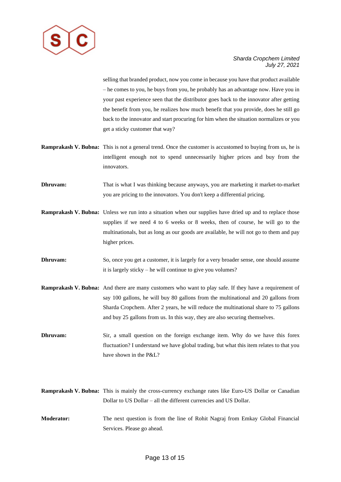

selling that branded product, now you come in because you have that product available – he comes to you, he buys from you, he probably has an advantage now. Have you in your past experience seen that the distributor goes back to the innovator after getting the benefit from you, he realizes how much benefit that you provide, does he still go back to the innovator and start procuring for him when the situation normalizes or you get a sticky customer that way?

- **Ramprakash V. Bubna:** This is not a general trend. Once the customer is accustomed to buying from us, he is intelligent enough not to spend unnecessarily higher prices and buy from the innovators.
- **Dhruvam:** That is what I was thinking because anyways, you are marketing it market-to-market you are pricing to the innovators. You don't keep a differential pricing.
- **Ramprakash V. Bubna:** Unless we run into a situation when our supplies have dried up and to replace those supplies if we need 4 to 6 weeks or 8 weeks, then of course, he will go to the multinationals, but as long as our goods are available, he will not go to them and pay higher prices.
- **Dhruvam:** So, once you get a customer, it is largely for a very broader sense, one should assume it is largely sticky – he will continue to give you volumes?
- **Ramprakash V. Bubna:** And there are many customers who want to play safe. If they have a requirement of say 100 gallons, he will buy 80 gallons from the multinational and 20 gallons from Sharda Cropchem. After 2 years, he will reduce the multinational share to 75 gallons and buy 25 gallons from us. In this way, they are also securing themselves.
- **Dhruvam:** Sir, a small question on the foreign exchange item. Why do we have this forex fluctuation? I understand we have global trading, but what this item relates to that you have shown in the P&L?
- **Ramprakash V. Bubna:** This is mainly the cross-currency exchange rates like Euro-US Dollar or Canadian Dollar to US Dollar – all the different currencies and US Dollar.
- **Moderator:** The next question is from the line of Rohit Nagraj from Emkay Global Financial Services. Please go ahead.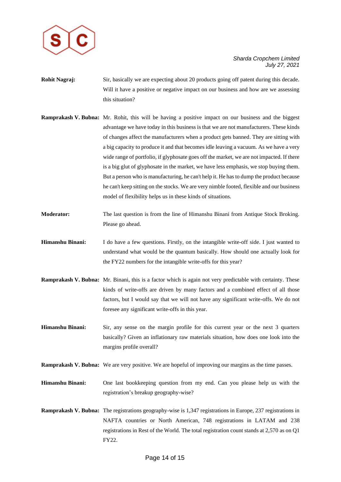

- **Rohit Nagraj:** Sir, basically we are expecting about 20 products going off patent during this decade. Will it have a positive or negative impact on our business and how are we assessing this situation?
- **Ramprakash V. Bubna:** Mr. Rohit, this will be having a positive impact on our business and the biggest advantage we have today in this business is that we are not manufacturers. These kinds of changes affect the manufacturers when a product gets banned. They are sitting with a big capacity to produce it and that becomes idle leaving a vacuum. As we have a very wide range of portfolio, if glyphosate goes off the market, we are not impacted. If there is a big glut of glyphosate in the market, we have less emphasis, we stop buying them. But a person who is manufacturing, he can't help it. He has to dump the product because he can't keep sitting on the stocks. We are very nimble footed, flexible and our business model of flexibility helps us in these kinds of situations.
- **Moderator:** The last question is from the line of Himanshu Binani from Antique Stock Broking. Please go ahead.
- **Himanshu Binani:** I do have a few questions. Firstly, on the intangible write-off side. I just wanted to understand what would be the quantum basically. How should one actually look for the FY22 numbers for the intangible write-offs for this year?
- **Ramprakash V. Bubna:** Mr. Binani, this is a factor which is again not very predictable with certainty. These kinds of write-offs are driven by many factors and a combined effect of all those factors, but I would say that we will not have any significant write-offs. We do not foresee any significant write-offs in this year.
- **Himanshu Binani:** Sir, any sense on the margin profile for this current year or the next 3 quarters basically? Given an inflationary raw materials situation, how does one look into the margins profile overall?
- **Ramprakash V. Bubna:** We are very positive. We are hopeful of improving our margins as the time passes.
- **Himanshu Binani:** One last bookkeeping question from my end. Can you please help us with the registration's breakup geography-wise?
- **Ramprakash V. Bubna:** The registrations geography-wise is 1,347 registrations in Europe, 237 registrations in NAFTA countries or North American, 748 registrations in LATAM and 238 registrations in Rest of the World. The total registration count stands at 2,570 as on Q1 FY22.